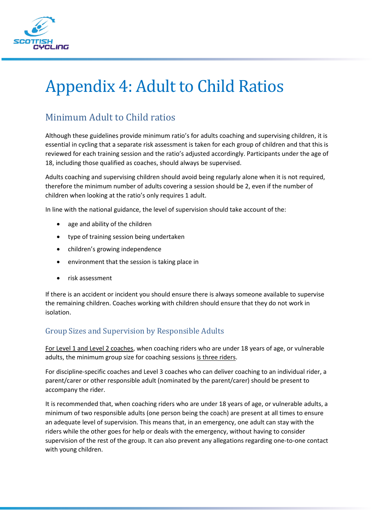

# Appendix 4: Adult to Child Ratios

# Minimum Adult to Child ratios

Although these guidelines provide minimum ratio's for adults coaching and supervising children, it is essential in cycling that a separate risk assessment is taken for each group of children and that this is reviewed for each training session and the ratio's adjusted accordingly. Participants under the age of 18, including those qualified as coaches, should always be supervised.

Adults coaching and supervising children should avoid being regularly alone when it is not required, therefore the minimum number of adults covering a session should be 2, even if the number of children when looking at the ratio's only requires 1 adult.

In line with the national guidance, the level of supervision should take account of the:

- age and ability of the children
- type of training session being undertaken
- children's growing independence
- environment that the session is taking place in
- risk assessment

If there is an accident or incident you should ensure there is always someone available to supervise the remaining children. Coaches working with children should ensure that they do not work in isolation.

# Group Sizes and Supervision by Responsible Adults

For Level 1 and Level 2 coaches, when coaching riders who are under 18 years of age, or vulnerable adults, the minimum group size for coaching sessions is three riders.

For discipline-specific coaches and Level 3 coaches who can deliver coaching to an individual rider, a parent/carer or other responsible adult (nominated by the parent/carer) should be present to accompany the rider.

It is recommended that, when coaching riders who are under 18 years of age, or vulnerable adults, a minimum of two responsible adults (one person being the coach) are present at all times to ensure an adequate level of supervision. This means that, in an emergency, one adult can stay with the riders while the other goes for help or deals with the emergency, without having to consider supervision of the rest of the group. It can also prevent any allegations regarding one-to-one contact with young children.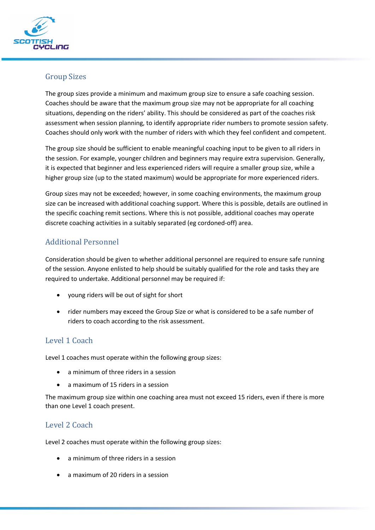

### Group Sizes

The group sizes provide a minimum and maximum group size to ensure a safe coaching session. Coaches should be aware that the maximum group size may not be appropriate for all coaching situations, depending on the riders' ability. This should be considered as part of the coaches risk assessment when session planning, to identify appropriate rider numbers to promote session safety. Coaches should only work with the number of riders with which they feel confident and competent.

The group size should be sufficient to enable meaningful coaching input to be given to all riders in the session. For example, younger children and beginners may require extra supervision. Generally, it is expected that beginner and less experienced riders will require a smaller group size, while a higher group size (up to the stated maximum) would be appropriate for more experienced riders.

Group sizes may not be exceeded; however, in some coaching environments, the maximum group size can be increased with additional coaching support. Where this is possible, details are outlined in the specific coaching remit sections. Where this is not possible, additional coaches may operate discrete coaching activities in a suitably separated (eg cordoned-off) area.

# Additional Personnel

Consideration should be given to whether additional personnel are required to ensure safe running of the session. Anyone enlisted to help should be suitably qualified for the role and tasks they are required to undertake. Additional personnel may be required if:

- young riders will be out of sight for short
- rider numbers may exceed the Group Size or what is considered to be a safe number of riders to coach according to the risk assessment.

#### Level 1 Coach

Level 1 coaches must operate within the following group sizes:

- a minimum of three riders in a session
- a maximum of 15 riders in a session

The maximum group size within one coaching area must not exceed 15 riders, even if there is more than one Level 1 coach present.

#### Level 2 Coach

Level 2 coaches must operate within the following group sizes:

- a minimum of three riders in a session
- a maximum of 20 riders in a session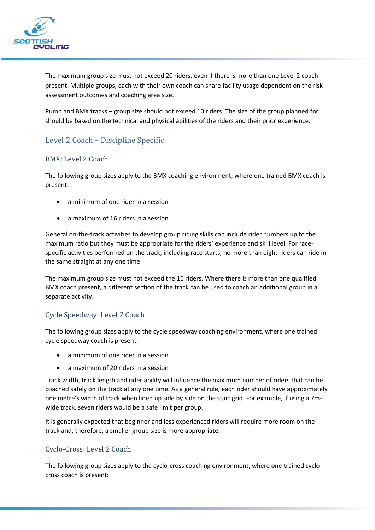

The maximum group size must not exceed 20 riders, even if there is more than one Level 2 coach present. Multiple groups, each with their own coach can share facility usage dependent on the risk assessment outcomes and coaching area size.

Pump and BMX tracks – group size should not exceed 10 riders. The size of the group planned for should be based on the technical and physical abilities of the riders and their prior experience.

# Level 2 Coach – Discipline Specific

#### BMX: Level 2 Coach

The following group sizes apply to the BMX coaching environment, where one trained BMX coach is present:

- a minimum of one rider in a session
- a maximum of 16 riders in a session

General on-the-track activities to develop group riding skills can include rider numbers up to the maximum ratio but they must be appropriate for the riders' experience and skill level. For racespecific activities performed on the track, including race starts, no more than eight riders can ride in the same straight at any one time.

The maximum group size must not exceed the 16 riders. Where there is more than one qualified BMX coach present, a different section of the track can be used to coach an additional group in a separate activity.

#### Cycle Speedway: Level 2 Coach

The following group sizes apply to the cycle speedway coaching environment, where one trained cycle speedway coach is present:

- a minimum of one rider in a session
- a maximum of 20 riders in a session

Track width, track length and rider ability will influence the maximum number of riders that can be coached safely on the track at any one time. As a general rule, each rider should have approximately one metre's width of track when lined up side by side on the start grid. For example, if using a 7mwide track, seven riders would be a safe limit per group.

It is generally expected that beginner and less experienced riders will require more room on the track and, therefore, a smaller group size is more appropriate.

#### Cyclo-Cross: Level 2 Coach

The following group sizes apply to the cyclo-cross coaching environment, where one trained cyclocross coach is present: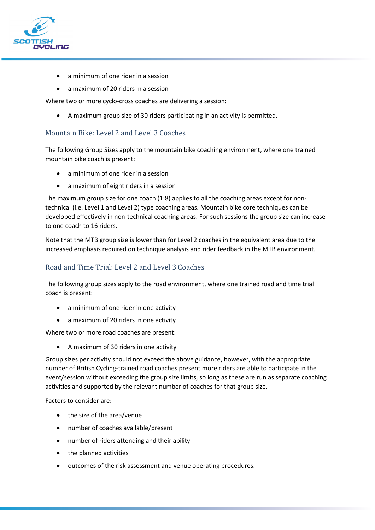

- a minimum of one rider in a session
- a maximum of 20 riders in a session

Where two or more cyclo-cross coaches are delivering a session:

• A maximum group size of 30 riders participating in an activity is permitted.

#### Mountain Bike: Level 2 and Level 3 Coaches

The following Group Sizes apply to the mountain bike coaching environment, where one trained mountain bike coach is present:

- a minimum of one rider in a session
- a maximum of eight riders in a session

The maximum group size for one coach (1:8) applies to all the coaching areas except for nontechnical (i.e. Level 1 and Level 2) type coaching areas. Mountain bike core techniques can be developed effectively in non-technical coaching areas. For such sessions the group size can increase to one coach to 16 riders.

Note that the MTB group size is lower than for Level 2 coaches in the equivalent area due to the increased emphasis required on technique analysis and rider feedback in the MTB environment.

#### Road and Time Trial: Level 2 and Level 3 Coaches

The following group sizes apply to the road environment, where one trained road and time trial coach is present:

- a minimum of one rider in one activity
- a maximum of 20 riders in one activity

Where two or more road coaches are present:

• A maximum of 30 riders in one activity

Group sizes per activity should not exceed the above guidance, however, with the appropriate number of British Cycling-trained road coaches present more riders are able to participate in the event/session without exceeding the group size limits, so long as these are run as separate coaching activities and supported by the relevant number of coaches for that group size.

Factors to consider are:

- the size of the area/venue
- number of coaches available/present
- number of riders attending and their ability
- the planned activities
- outcomes of the risk assessment and venue operating procedures.